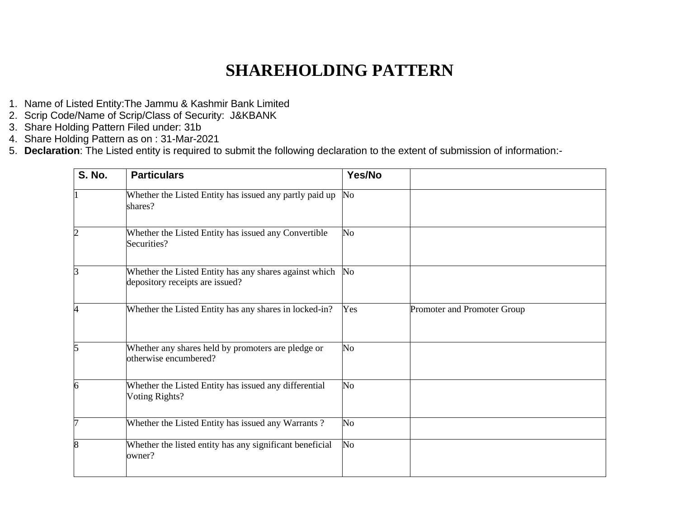## **SHAREHOLDING PATTERN**

- 1. Name of Listed Entity:The Jammu & Kashmir Bank Limited
- 2. Scrip Code/Name of Scrip/Class of Security: J&KBANK
- 3. Share Holding Pattern Filed under: 31b
- 4. Share Holding Pattern as on : 31-Mar-2021
- 5. **Declaration**: The Listed entity is required to submit the following declaration to the extent of submission of information:-

| <b>S. No.</b>  | <b>Particulars</b>                                                                        | Yes/No                 |                             |
|----------------|-------------------------------------------------------------------------------------------|------------------------|-----------------------------|
|                | Whether the Listed Entity has issued any partly paid up<br>shares?                        | No                     |                             |
| $\overline{2}$ | Whether the Listed Entity has issued any Convertible<br>Securities?                       | N <sub>o</sub>         |                             |
| 3              | Whether the Listed Entity has any shares against which<br>depository receipts are issued? | No                     |                             |
| 4              | Whether the Listed Entity has any shares in locked-in?                                    | Yes                    | Promoter and Promoter Group |
| 5              | Whether any shares held by promoters are pledge or<br>otherwise encumbered?               | $\overline{\text{No}}$ |                             |
| 6              | Whether the Listed Entity has issued any differential<br>Voting Rights?                   | N <sub>o</sub>         |                             |
| 7              | Whether the Listed Entity has issued any Warrants?                                        | No                     |                             |
| 8              | Whether the listed entity has any significant beneficial<br>owner?                        | No                     |                             |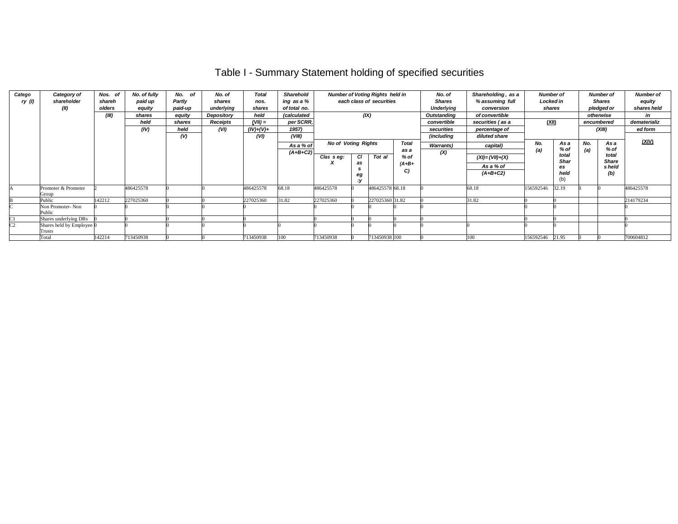| Catego<br>ry (l) | Category of<br>shareholder<br>(II)  | Nos. of<br>shareh<br>olders<br>(III) | No. of fully<br>paid up<br>equity<br>shares<br>held<br>(IV) | No. of<br>Partly<br>paid-up<br>equity<br>shares<br>held | No. of<br>shares<br>underlying<br>Depository<br>Receipts<br>(VI) | <b>Total</b><br>nos.<br>shares<br>held<br>$(VII) =$<br>$(IV)+(V)+$ | <b>Sharehold</b><br>ing as a %<br>of total no.<br>(calculated<br>per SCRR,<br>1957) |                            | Shareholding, as a<br><b>Number of Voting Rights held in</b><br>No. of<br>each class of securities<br><b>Shares</b><br>% assuming full<br>Underlying<br>conversion<br>(IX)<br>of convertible<br>Outstanding<br>convertible<br>securities (as a<br>securities |                 |                         |                                |                                               |                 | percentage of                             |            | <b>Number of</b><br><b>Locked in</b><br>shares<br>(XII) |           |  | Number of<br><b>Shares</b><br>pledged or<br>otherwise<br>encumbered<br>(XIII) | <b>Number of</b><br>equity<br>shares held<br>in<br>dematerializ<br>ed form |
|------------------|-------------------------------------|--------------------------------------|-------------------------------------------------------------|---------------------------------------------------------|------------------------------------------------------------------|--------------------------------------------------------------------|-------------------------------------------------------------------------------------|----------------------------|--------------------------------------------------------------------------------------------------------------------------------------------------------------------------------------------------------------------------------------------------------------|-----------------|-------------------------|--------------------------------|-----------------------------------------------|-----------------|-------------------------------------------|------------|---------------------------------------------------------|-----------|--|-------------------------------------------------------------------------------|----------------------------------------------------------------------------|
|                  |                                     |                                      |                                                             | (V)                                                     |                                                                  | (VI)                                                               | (VIII)<br>As a % of                                                                 | <b>No of Voting Rights</b> |                                                                                                                                                                                                                                                              |                 | <b>Total</b><br>as a    | (including<br><b>Warrants)</b> | diluted share<br>capital)                     | No.<br>(a)      | As a<br>$%$ of                            | No.<br>(a) | As a<br>% of                                            | (XIV)     |  |                                                                               |                                                                            |
|                  |                                     |                                      |                                                             |                                                         |                                                                  |                                                                    | $(A+B+C2)$                                                                          | Clas seq:                  | CI<br>as<br>eg                                                                                                                                                                                                                                               | Tot al          | $%$ of<br>$(A+B+$<br>C) | (X)                            | $(XI) = (VII)+(X)$<br>As a % of<br>$(A+B+C2)$ |                 | total<br><b>Shar</b><br>es<br>held<br>(b) |            | total<br>Share<br>s held<br>(b)                         |           |  |                                                                               |                                                                            |
|                  | Promoter & Promoter<br>Group        |                                      | 486425578                                                   |                                                         |                                                                  | 486425578                                                          | 68.18                                                                               | 486425578                  |                                                                                                                                                                                                                                                              | 486425578 68.18 |                         |                                | 68.18                                         | 156592546       | 32.19                                     |            |                                                         | 486425578 |  |                                                                               |                                                                            |
|                  | Public                              | 142212                               | 227025360                                                   |                                                         |                                                                  | 227025360                                                          | 31.82                                                                               | 227025360                  |                                                                                                                                                                                                                                                              | 227025360 31.82 |                         |                                | 31.82                                         |                 |                                           |            |                                                         | 214179234 |  |                                                                               |                                                                            |
|                  | Non Promoter-Non<br>Public          |                                      |                                                             |                                                         |                                                                  |                                                                    |                                                                                     |                            |                                                                                                                                                                                                                                                              |                 |                         |                                |                                               |                 |                                           |            |                                                         |           |  |                                                                               |                                                                            |
|                  | Shares underlying DRs               |                                      |                                                             |                                                         |                                                                  |                                                                    |                                                                                     |                            |                                                                                                                                                                                                                                                              |                 |                         |                                |                                               |                 |                                           |            |                                                         |           |  |                                                                               |                                                                            |
| C <sub>2</sub>   | Shares held by Employee 0<br>Trusts |                                      |                                                             |                                                         |                                                                  |                                                                    |                                                                                     |                            |                                                                                                                                                                                                                                                              |                 |                         |                                |                                               |                 |                                           |            |                                                         |           |  |                                                                               |                                                                            |
|                  | Total                               | 142214                               | 713450938                                                   |                                                         |                                                                  | 713450938                                                          | 100                                                                                 | 713450938                  |                                                                                                                                                                                                                                                              | 713450938 100   |                         |                                | 100                                           | 156592546 21.95 |                                           |            |                                                         | 700604812 |  |                                                                               |                                                                            |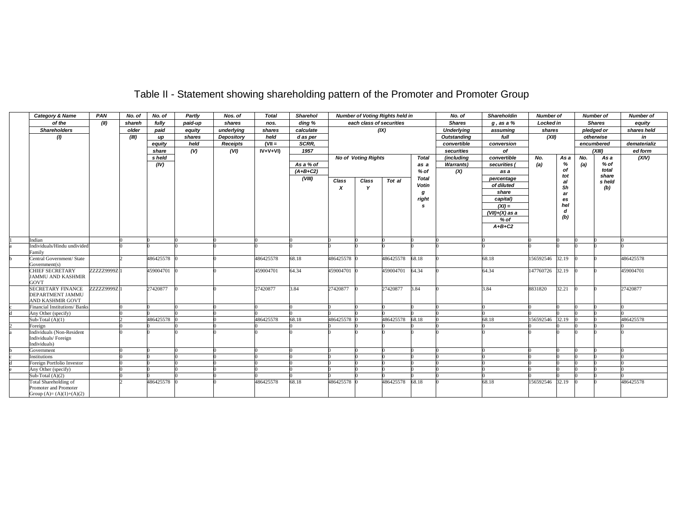| <b>Category &amp; Name</b>                   | PAN         | No. of | No. of    | Partly  | Nos. of         | <b>Total</b>  | Sharehol   |                  |                            | <b>Number of Voting Rights held in</b> |              | No. of             | Shareholdin      | <b>Number of</b> |           |     | <b>Number of</b> | <b>Number of</b> |
|----------------------------------------------|-------------|--------|-----------|---------|-----------------|---------------|------------|------------------|----------------------------|----------------------------------------|--------------|--------------------|------------------|------------------|-----------|-----|------------------|------------------|
| of the                                       | (II)        | shareh | fully     | paid-up | shares          | nos.          | ding %     |                  | each class of securities   |                                        |              | <b>Shares</b>      | $q$ , as a $%$   | Locked in        |           |     | <b>Shares</b>    | equity           |
| <b>Shareholders</b>                          |             | older  | paid      | equity  | underlying      | shares        | calculate  |                  |                            | (IX)                                   |              | <b>Underlying</b>  | assuming         | shares           |           |     | pledged or       | shares held      |
| $\omega$                                     |             | (III)  | up        | shares  | Depository      | held          | d as per   |                  |                            |                                        |              | <b>Outstanding</b> | full             | (XII)            |           |     | otherwise        | in               |
|                                              |             |        | equity    | held    | <b>Receipts</b> | $(VII =$      | SCRR.      |                  |                            |                                        |              | convertible        | conversion       |                  |           |     | encumbered       | dematerializ     |
|                                              |             |        | share     | (V)     | (VI)            | $IV + V + VI$ | 1957       |                  |                            |                                        |              | securities         | of               |                  |           |     | (XIII)           | ed form          |
|                                              |             |        | s held    |         |                 |               |            |                  | <b>No of Voting Rights</b> |                                        | <b>Total</b> | (including         | convertible      | No.              | As a      | No. | As a             | (XIV)            |
|                                              |             |        | (IV)      |         |                 |               | As a % of  |                  |                            |                                        | as a         | <b>Warrants</b> )  | securities       | (a)              | %         | (a) | $%$ of           |                  |
|                                              |             |        |           |         |                 |               | $(A+B+C2)$ |                  |                            |                                        | % of         | (X)                | as a             |                  | of        |     | total            |                  |
|                                              |             |        |           |         |                 |               | (VIII)     |                  |                            |                                        | <b>Total</b> |                    | percentage       |                  | tot       |     | share            |                  |
|                                              |             |        |           |         |                 |               |            | Class            | Class                      | Tot al                                 | Votin        |                    | of diluted       |                  | al        |     | s held           |                  |
|                                              |             |        |           |         |                 |               |            | $\boldsymbol{x}$ | Y                          |                                        |              |                    | share            |                  | Sh        |     | (b)              |                  |
|                                              |             |        |           |         |                 |               |            |                  |                            |                                        | g<br>right   |                    | capital)         |                  | ar        |     |                  |                  |
|                                              |             |        |           |         |                 |               |            |                  |                            |                                        | $\mathbf{s}$ |                    | $(XI) =$         |                  | es<br>hel |     |                  |                  |
|                                              |             |        |           |         |                 |               |            |                  |                            |                                        |              |                    |                  |                  | d         |     |                  |                  |
|                                              |             |        |           |         |                 |               |            |                  |                            |                                        |              |                    | $(VII)+(X)$ as a |                  | (b)       |     |                  |                  |
|                                              |             |        |           |         |                 |               |            |                  |                            |                                        |              |                    | % of             |                  |           |     |                  |                  |
|                                              |             |        |           |         |                 |               |            |                  |                            |                                        |              |                    | $A+B+C2$         |                  |           |     |                  |                  |
| Indian                                       |             |        |           |         |                 |               |            |                  |                            |                                        |              |                    |                  |                  |           |     |                  |                  |
| Individuals/Hindu undivided                  |             |        |           |         |                 |               |            |                  |                            |                                        |              |                    |                  |                  |           |     |                  |                  |
| Family                                       |             |        |           |         |                 |               |            |                  |                            |                                        |              |                    |                  |                  |           |     |                  |                  |
| Central Government/ State                    |             |        | 486425578 |         |                 | 486425578     | 68.18      | 486425578        |                            | 486425578                              | 68.18        |                    | 68.18            | 156592546        | 32.19     |     |                  | 486425578        |
| Government(s)                                |             |        |           |         |                 |               |            |                  |                            |                                        |              |                    |                  |                  |           |     |                  |                  |
| <b>CHIEF SECRETARY</b>                       | ZZZZZ9999Z1 |        | 459004701 |         |                 | 459004701     | 64.34      | 459004701        |                            | 459004701                              | 64.34        |                    | 64.34            | 147760726        | 32.19     |     |                  | 459004701        |
| JAMMU AND KASHMIR                            |             |        |           |         |                 |               |            |                  |                            |                                        |              |                    |                  |                  |           |     |                  |                  |
| <b>GOVT</b>                                  |             |        |           |         |                 |               |            |                  |                            |                                        |              |                    |                  |                  |           |     |                  |                  |
| <b>SECRETARY FINANCE</b><br>DEPARTMENT JAMMU | ZZZZZ9999Z  |        | 27420877  |         |                 | 27420877      | 3.84       | 27420877         |                            | 27420877                               | 3.84         |                    | 3.84             | 8831820          | 32.21     |     |                  | 27420877         |
| AND KASHMIR GOVT                             |             |        |           |         |                 |               |            |                  |                            |                                        |              |                    |                  |                  |           |     |                  |                  |
| <b>Financial Institutions/Banks</b>          |             |        |           |         |                 |               |            |                  |                            |                                        |              |                    |                  |                  |           |     |                  |                  |
| Any Other (specify)                          |             |        |           |         |                 |               |            |                  |                            |                                        |              |                    |                  |                  |           |     |                  |                  |
| Sub-Total $(A)(1)$                           |             |        | 486425578 |         |                 | 486425578     | 68.18      | 486425578        |                            | 486425578                              | 68.18        |                    | 68.18            | 156592546        | 32.19     |     |                  | 486425578        |
| Foreign                                      |             |        |           |         |                 |               |            |                  |                            |                                        |              |                    |                  |                  |           |     |                  |                  |
| Individuals (Non-Resident                    |             |        |           |         |                 |               |            |                  |                            |                                        |              |                    |                  |                  |           |     |                  |                  |
| Individuals/Foreign                          |             |        |           |         |                 |               |            |                  |                            |                                        |              |                    |                  |                  |           |     |                  |                  |
| Individuals)                                 |             |        |           |         |                 |               |            |                  |                            |                                        |              |                    |                  |                  |           |     |                  |                  |
| Government                                   |             |        |           |         |                 |               |            |                  |                            |                                        |              |                    |                  |                  |           |     |                  |                  |
| Institutions                                 |             |        |           |         |                 |               |            |                  |                            |                                        |              |                    |                  |                  |           |     |                  |                  |
| Foreign Portfolio Investor                   |             |        |           |         |                 |               |            |                  |                            |                                        |              |                    |                  |                  |           |     |                  |                  |
| Any Other (specify)                          |             |        |           |         |                 |               |            |                  |                            |                                        |              |                    |                  |                  |           |     |                  |                  |
| Sub-Total $(A)(2)$                           |             |        |           |         |                 |               |            |                  |                            |                                        |              |                    |                  |                  |           |     |                  |                  |
| <b>Total Shareholding of</b>                 |             |        | 486425578 |         |                 | 486425578     | 68.18      | 486425578        |                            | 486425578                              | 68.18        |                    | 68.18            | 156592546        | 32.19     |     |                  | 486425578        |
| Promoter and Promoter                        |             |        |           |         |                 |               |            |                  |                            |                                        |              |                    |                  |                  |           |     |                  |                  |
| Group $(A)=(A)(1)+(A)(2)$                    |             |        |           |         |                 |               |            |                  |                            |                                        |              |                    |                  |                  |           |     |                  |                  |

## Table II - Statement showing shareholding pattern of the Promoter and Promoter Group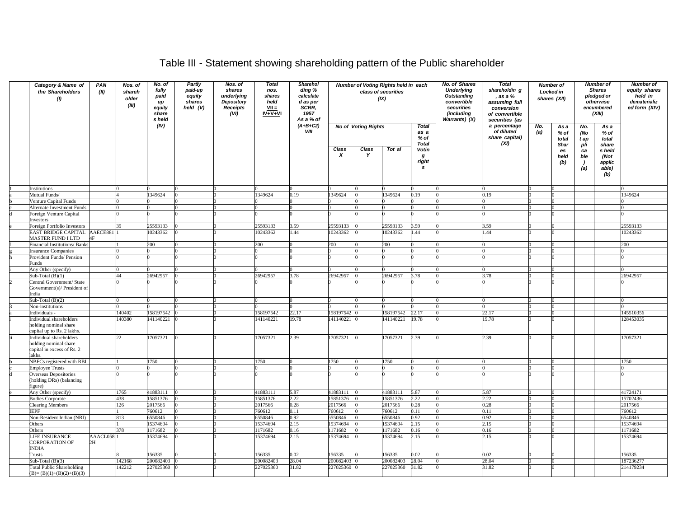## Table III - Statement showing shareholding pattern of the Public shareholder

| Category & Name of<br>the Shareholders<br>(1)                                | <b>PAN</b><br>(II) | Nos. of<br>shareh<br>older<br>(III) | No. of<br>fully<br>paid<br>up<br>equity<br>share<br>s held | Partly<br>paid-up<br>equity<br>shares<br>held $(V)$ | Nos. of<br>shares<br>underlying<br>Depository<br>Receipts<br>(VI) | <b>Total</b><br>nos.<br>shares<br>held<br>$VII =$<br>$IV + V + VI$ | Sharehol<br>ding %<br>calculate<br>d as per<br>SCRR.<br>1957<br>As a % of |                           |                                          | Number of Voting Rights held in each<br>class of securities<br>(IX) |                                                                            | No. of Shares<br><b>Underlying</b><br><b>Outstanding</b><br>convertible<br>securities<br>(including<br>Warrants) (X) | <b>Total</b><br>shareholdin g<br>. as a %<br>assuming full<br>conversion<br>of convertible<br>securities (as | <b>Number of</b><br>Locked in | shares (XII)                                       |                                                          | <b>Number of</b><br><b>Shares</b><br>pledged or<br>otherwise<br>encumbered<br>(XIII) | <b>Number of</b><br>equity shares<br>held in<br>dematerializ<br>ed form (XIV) |
|------------------------------------------------------------------------------|--------------------|-------------------------------------|------------------------------------------------------------|-----------------------------------------------------|-------------------------------------------------------------------|--------------------------------------------------------------------|---------------------------------------------------------------------------|---------------------------|------------------------------------------|---------------------------------------------------------------------|----------------------------------------------------------------------------|----------------------------------------------------------------------------------------------------------------------|--------------------------------------------------------------------------------------------------------------|-------------------------------|----------------------------------------------------|----------------------------------------------------------|--------------------------------------------------------------------------------------|-------------------------------------------------------------------------------|
|                                                                              |                    |                                     | (IV)                                                       |                                                     |                                                                   |                                                                    | $(A+B+C2)$<br>VIII                                                        | Class<br>$\boldsymbol{x}$ | <b>No of Voting Rights</b><br>Class<br>Y | Tot al                                                              | Total<br>as a<br>$%$ of<br><b>Total</b><br>Votin<br>g<br>right<br><b>s</b> |                                                                                                                      | a percentage<br>of diluted<br>share capital)<br>(XI)                                                         | No.<br>(a)                    | As a<br>% of<br>total<br>Shar<br>es<br>held<br>(b) | No.<br>(No<br>t ap<br>pli<br>ca<br>ble<br>$\cdot$<br>(a) | As a<br>$%$ of<br>total<br>share<br>s held<br>(Not<br>applic<br>able)<br>(b)         |                                                                               |
| nstitutions                                                                  |                    |                                     |                                                            |                                                     |                                                                   |                                                                    |                                                                           |                           |                                          |                                                                     |                                                                            |                                                                                                                      |                                                                                                              |                               |                                                    |                                                          |                                                                                      |                                                                               |
| Mutual Funds/                                                                |                    |                                     | 349624                                                     |                                                     |                                                                   | 1349624                                                            | 0.19                                                                      | 1349624                   |                                          | 1349624                                                             | 0.19                                                                       |                                                                                                                      | 0.19                                                                                                         |                               |                                                    |                                                          |                                                                                      | 1349624                                                                       |
| /enture Capital Funds                                                        |                    |                                     |                                                            |                                                     |                                                                   |                                                                    |                                                                           |                           |                                          |                                                                     |                                                                            |                                                                                                                      |                                                                                                              |                               |                                                    |                                                          |                                                                                      |                                                                               |
| Alternate Investment Funds                                                   |                    |                                     |                                                            |                                                     |                                                                   |                                                                    |                                                                           |                           |                                          |                                                                     |                                                                            |                                                                                                                      |                                                                                                              |                               |                                                    |                                                          |                                                                                      |                                                                               |
| oreign Venture Capital                                                       |                    |                                     |                                                            |                                                     |                                                                   |                                                                    |                                                                           |                           |                                          |                                                                     |                                                                            |                                                                                                                      |                                                                                                              |                               |                                                    |                                                          |                                                                                      |                                                                               |
| nvestors                                                                     |                    |                                     |                                                            |                                                     |                                                                   |                                                                    |                                                                           |                           |                                          |                                                                     |                                                                            |                                                                                                                      |                                                                                                              |                               |                                                    |                                                          |                                                                                      |                                                                               |
| oreign Portfolio Investors                                                   |                    |                                     | 25593133                                                   |                                                     |                                                                   | 25593133                                                           | 3.59                                                                      | 25593133                  |                                          | 25593133                                                            | 3.59                                                                       |                                                                                                                      | 3.59                                                                                                         |                               |                                                    |                                                          |                                                                                      | 25593133                                                                      |
| AST BRIDGE CAPITAL AAECE881<br><b>AASTER FUND I LTD</b>                      | 4F                 |                                     | 0243362                                                    |                                                     |                                                                   | 10243362                                                           | .44                                                                       | 10243362                  |                                          | 10243362                                                            | .44                                                                        |                                                                                                                      | 1.44                                                                                                         |                               |                                                    |                                                          |                                                                                      | 0243362                                                                       |
| inancial Institutions/ Banks                                                 |                    |                                     | 200                                                        |                                                     |                                                                   | 200                                                                |                                                                           | 200                       |                                          | 200                                                                 |                                                                            |                                                                                                                      |                                                                                                              |                               |                                                    |                                                          |                                                                                      | 200                                                                           |
| nsurance Companies                                                           |                    |                                     |                                                            |                                                     |                                                                   |                                                                    |                                                                           |                           |                                          |                                                                     |                                                                            |                                                                                                                      |                                                                                                              |                               |                                                    |                                                          |                                                                                      |                                                                               |
| Provident Funds/ Pension                                                     |                    |                                     |                                                            |                                                     |                                                                   |                                                                    |                                                                           |                           |                                          |                                                                     |                                                                            |                                                                                                                      |                                                                                                              |                               |                                                    |                                                          |                                                                                      |                                                                               |
| unds:                                                                        |                    |                                     |                                                            |                                                     |                                                                   |                                                                    |                                                                           |                           |                                          |                                                                     |                                                                            |                                                                                                                      |                                                                                                              |                               |                                                    |                                                          |                                                                                      |                                                                               |
| Any Other (specify)                                                          |                    |                                     |                                                            |                                                     |                                                                   |                                                                    |                                                                           |                           |                                          |                                                                     |                                                                            |                                                                                                                      |                                                                                                              |                               |                                                    |                                                          |                                                                                      |                                                                               |
| Sub-Total $(B)(1)$                                                           |                    | 44                                  | 26942957                                                   |                                                     |                                                                   | 26942957                                                           | 3.78                                                                      | 26942957                  |                                          | 26942957                                                            | 3.78                                                                       |                                                                                                                      | 3.78                                                                                                         |                               |                                                    |                                                          |                                                                                      | 26942957                                                                      |
| Central Government/ State                                                    |                    |                                     |                                                            |                                                     |                                                                   |                                                                    |                                                                           |                           |                                          |                                                                     |                                                                            |                                                                                                                      |                                                                                                              |                               |                                                    |                                                          |                                                                                      |                                                                               |
| Government(s)/ President of<br>ndia                                          |                    |                                     |                                                            |                                                     |                                                                   |                                                                    |                                                                           |                           |                                          |                                                                     |                                                                            |                                                                                                                      |                                                                                                              |                               |                                                    |                                                          |                                                                                      |                                                                               |
| $Sub-Total (B)(2)$                                                           |                    |                                     |                                                            |                                                     |                                                                   |                                                                    |                                                                           |                           |                                          |                                                                     |                                                                            |                                                                                                                      |                                                                                                              |                               |                                                    |                                                          |                                                                                      |                                                                               |
| <b>Non-institutions</b>                                                      |                    |                                     |                                                            |                                                     |                                                                   |                                                                    |                                                                           |                           |                                          |                                                                     |                                                                            |                                                                                                                      |                                                                                                              |                               |                                                    |                                                          |                                                                                      |                                                                               |
| ndividuals -                                                                 |                    | 140402                              | 158197542                                                  |                                                     |                                                                   | 58197542                                                           | 22.17                                                                     | 158197542                 |                                          | 58197542                                                            | 22.17                                                                      |                                                                                                                      | 22.17                                                                                                        |                               |                                                    |                                                          |                                                                                      | 45510356                                                                      |
| ndividual shareholders<br>nolding nominal share<br>apital up to Rs. 2 lakhs. |                    | 140380                              | 141140221                                                  |                                                     |                                                                   | 141140221                                                          | 19.78                                                                     | 141140221                 |                                          | 141140221                                                           | 19.78                                                                      |                                                                                                                      | 19.78                                                                                                        |                               |                                                    |                                                          |                                                                                      | 28453035                                                                      |
| ndividual shareholders<br>holding nominal share<br>apital in excess of Rs. 2 |                    | $22^{1}$                            | 17057321                                                   |                                                     |                                                                   | 7057321                                                            | 2.39                                                                      | 17057321                  |                                          | 7057321                                                             | 2.39                                                                       |                                                                                                                      | 2.39                                                                                                         |                               |                                                    |                                                          |                                                                                      | 7057321                                                                       |
| ikhs.<br>NBFCs registered with RBI                                           |                    |                                     | 1750                                                       |                                                     |                                                                   | 1750                                                               |                                                                           | 1750                      |                                          | 1750                                                                |                                                                            |                                                                                                                      |                                                                                                              |                               |                                                    |                                                          |                                                                                      | 1750                                                                          |
| mployee Trusts                                                               |                    |                                     |                                                            |                                                     |                                                                   |                                                                    |                                                                           |                           |                                          |                                                                     |                                                                            |                                                                                                                      |                                                                                                              |                               |                                                    |                                                          |                                                                                      |                                                                               |
| Overseas Depositories<br>holding DRs) (balancing<br>igure)                   |                    |                                     |                                                            |                                                     |                                                                   |                                                                    |                                                                           |                           |                                          |                                                                     |                                                                            |                                                                                                                      |                                                                                                              |                               |                                                    |                                                          |                                                                                      |                                                                               |
| Any Other (specify)                                                          |                    | 1765                                | 41883111                                                   |                                                     |                                                                   | 41883111                                                           | 5.87                                                                      | 41883111                  |                                          | 11883111                                                            | 5.87                                                                       |                                                                                                                      | 5.87                                                                                                         |                               |                                                    |                                                          |                                                                                      | 41724171                                                                      |
| <b>Bodies Corporate</b>                                                      |                    | 438                                 | 15851376                                                   |                                                     |                                                                   | 15851376                                                           | 2.22                                                                      | 15851376                  |                                          | 15851376                                                            | 2.22                                                                       |                                                                                                                      | 2.22                                                                                                         |                               |                                                    |                                                          |                                                                                      | 15702436                                                                      |
| <b>Clearing Members</b>                                                      |                    | 126                                 | 2017566                                                    |                                                     |                                                                   | 2017566                                                            | 0.28                                                                      | 2017566                   |                                          | 2017566                                                             | 0.28                                                                       |                                                                                                                      | 0.28                                                                                                         |                               |                                                    |                                                          |                                                                                      | 2017566                                                                       |
| <b>EPF</b>                                                                   |                    |                                     | 760612                                                     |                                                     |                                                                   | 760612                                                             | 0.11                                                                      | 760612                    |                                          | 760612                                                              | 0.11                                                                       |                                                                                                                      | 0.11                                                                                                         |                               |                                                    |                                                          |                                                                                      | 760612                                                                        |
| Non-Resident Indian (NRI)                                                    |                    | 813                                 | 5550846                                                    |                                                     |                                                                   | 5550846                                                            | 0.92                                                                      | 6550846                   |                                          | 5550846                                                             | 0.92                                                                       |                                                                                                                      | 0.92                                                                                                         |                               |                                                    |                                                          |                                                                                      | 5540846                                                                       |
| <b>Others</b>                                                                |                    |                                     | 15374694                                                   |                                                     |                                                                   | 15374694                                                           | 2.15                                                                      | 15374694                  |                                          | 15374694                                                            | 2.15                                                                       |                                                                                                                      | 2.15                                                                                                         |                               |                                                    |                                                          |                                                                                      | 15374694                                                                      |
| <b>Others</b>                                                                |                    | 378                                 | 1171682                                                    |                                                     |                                                                   | 1171682                                                            | 0.16                                                                      | 1171682                   |                                          | 1171682                                                             | 0.16                                                                       |                                                                                                                      | 0.16                                                                                                         |                               |                                                    |                                                          |                                                                                      | 1171682                                                                       |
| <b>IFE INSURANCE</b><br>CORPORATION OF<br>NDIA                               | AAACL058<br>2H     |                                     | 15374694                                                   |                                                     |                                                                   | 15374694                                                           | 2.15                                                                      | 15374694                  |                                          | 15374694                                                            | 2.15                                                                       |                                                                                                                      | 2.15                                                                                                         |                               |                                                    |                                                          |                                                                                      | 15374694                                                                      |
| rusts                                                                        |                    |                                     | 156335                                                     |                                                     |                                                                   | 156335                                                             | 0.02                                                                      | 156335                    |                                          | 156335                                                              | 0.02                                                                       |                                                                                                                      | 0.02                                                                                                         |                               |                                                    |                                                          |                                                                                      | 156335                                                                        |
| $Sub-Total(B)(3)$                                                            |                    | 42168                               | 00082403                                                   |                                                     |                                                                   | :00082403                                                          | 28.04                                                                     | 200082403                 |                                          | 200082403                                                           | 28.04                                                                      |                                                                                                                      | 28.04                                                                                                        |                               |                                                    |                                                          |                                                                                      | 87236277                                                                      |
| <b>Total Public Shareholding</b><br>$(B)=(B)(1)+(B)(2)+(B)(3)$               |                    | 142212                              | 227025360                                                  |                                                     |                                                                   | 227025360                                                          | 31.82                                                                     | 227025360                 |                                          | 227025360                                                           | 31.82                                                                      |                                                                                                                      | 31.82                                                                                                        |                               |                                                    |                                                          |                                                                                      | 214179234                                                                     |